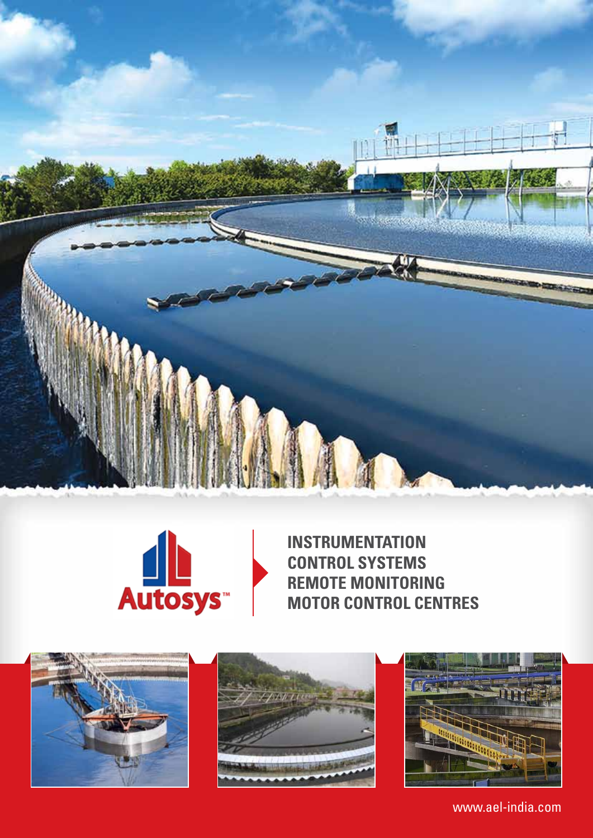



**Instrumentation Control Systems Remote Monitoring Motor Control Centres**







www.ael-india.com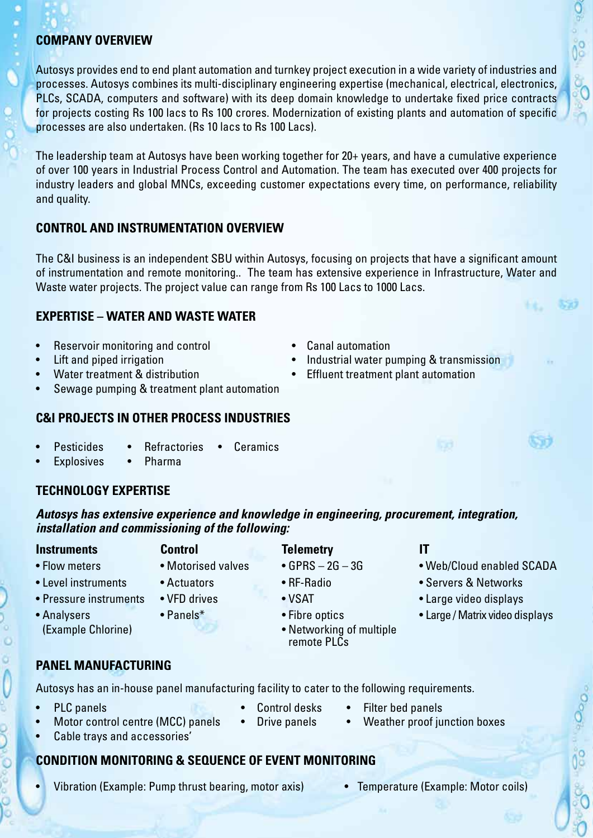### **Company Overview**

Autosys provides end to end plant automation and turnkey project execution in a wide variety of industries and processes. Autosys combines its multi-disciplinary engineering expertise (mechanical, electrical, electronics, PLCs, SCADA, computers and software) with its deep domain knowledge to undertake fixed price contracts for projects costing Rs 100 lacs to Rs 100 crores. Modernization of existing plants and automation of specific processes are also undertaken. (Rs 10 lacs to Rs 100 Lacs).

The leadership team at Autosys have been working together for 20+ years, and have a cumulative experience of over 100 years in Industrial Process Control and Automation. The team has executed over 400 projects for industry leaders and global MNCs, exceeding customer expectations every time, on performance, reliability and quality.

# **Control and Instrumentation Overview**

The C&I business is an independent SBU within Autosys, focusing on projects that have a significant amount of instrumentation and remote monitoring.. The team has extensive experience in Infrastructure, Water and Waste water projects. The project value can range from Rs 100 Lacs to 1000 Lacs.

## **Expertise – Water and Waste Water**

- Reservoir monitoring and control Canal automation
- 
- 
- Sewage pumping & treatment plant automation

## **C&I projects in other process industries**

- **Pesticides** Refractories Ceramics
	- Explosives Pharma

# **Technology Expertise**

*Autosys has extensive experience and knowledge in engineering, procurement, integration, installation and commissioning of the following:*

**Instruments Control Telemetry IT** • Flow meters • Motorised valves • GPRS – 2G – 3G • • Web/Cloud enabled SCADA • Level instruments • Actuators • RF-Radio • Servers & Networks

remote PLCs

- Pressure instruments VFD drives VSAT VSAT Large video displays
- Analysers Panels\* Panels Fibre optics Large / Matrix video displays
- (Example Chlorine) **Calculate Challenge Challenge Challenge Challenge Challenge Challenge Challenge Challenge Challenge Challenge Challenge Challenge Challenge Challenge Challenge Challenge Challenge Challenge Challenge Ch**
- 
- 

# **Panel Manufacturing**

Autosys has an in-house panel manufacturing facility to cater to the following requirements.

j

- 
- **PLC panels Control desks** Filter bed panels
- Motor control centre (MCC) panels Drive panels Weather proof junction boxes
- Cable trays and accessories'

# **Condition Monitoring & Sequence of Event Monitoring**

- Vibration (Example: Pump thrust bearing, motor axis) Temperature (Example: Motor coils)
- 
- 
- Lift and piped irrigation **Figure 1.1 •** Industrial water pumping & transmission
- Water treatment & distribution **•** Effluent treatment plant automation

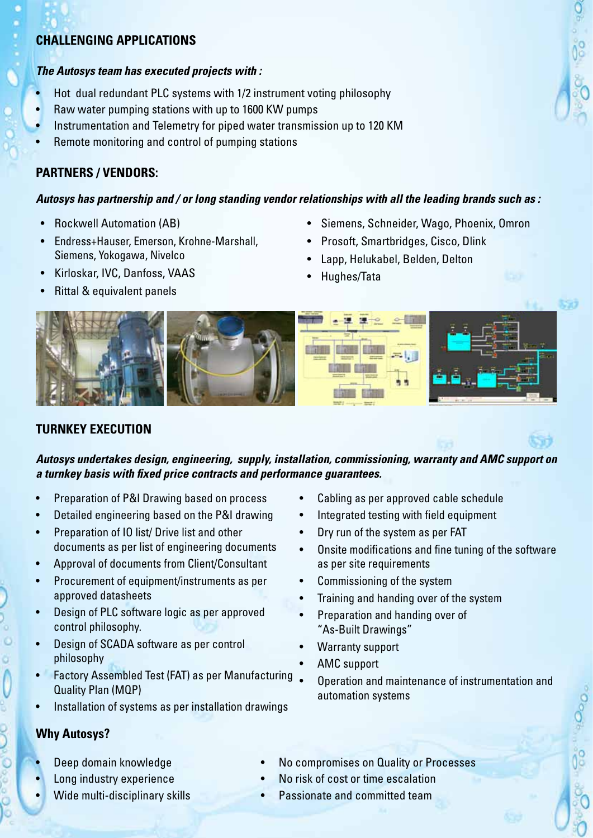### **Challenging applications**

### *The Autosys team has executed projects with :*

- Hot dual redundant PLC systems with 1/2 instrument voting philosophy
- Raw water pumping stations with up to 1600 KW pumps
- Instrumentation and Telemetry for piped water transmission up to 120 KM
- Remote monitoring and control of pumping stations

# **Partners / Vendors:**

## *Autosys has partnership and / or long standing vendor relationships with all the leading brands such as :*

- Rockwell Automation (AB)
- Endress+Hauser, Emerson, Krohne-Marshall, Siemens, Yokogawa, Nivelco
- • Kirloskar, IVC, Danfoss, VAAS
- **Rittal & equivalent panels**
- • Siemens, Schneider, Wago, Phoenix, Omron
- Prosoft, Smartbridges, Cisco, Dlink
- Lapp, Helukabel, Belden, Delton
- Hughes/Tata



# **Turnkey Execution**

*Autosys undertakes design, engineering, supply, installation, commissioning, warranty and AMC support on a turnkey basis with fixed price contracts and performance guarantees.*

- • Preparation of P&I Drawing based on process
- Detailed engineering based on the P&I drawing
- Preparation of IO list/ Drive list and other documents as per list of engineering documents
- • Approval of documents from Client/Consultant
- Procurement of equipment/instruments as per approved datasheets
- Design of PLC software logic as per approved control philosophy.
- • Design of SCADA software as per control philosophy
- Factory Assembled Test (FAT) as per Manufacturing Quality Plan (MQP)
- Installation of systems as per installation drawings
- **Why Autosys?**
- Deep domain knowledge
- Long industry experience
- Wide multi-disciplinary skills
- • Cabling as per approved cable schedule
- Integrated testing with field equipment
- Dry run of the system as per FAT
- • Onsite modifications and fine tuning of the software as per site requirements
- Commissioning of the system
- Training and handing over of the system
- Preparation and handing over of "As-Built Drawings"
- Warranty support
- AMC support
- Operation and maintenance of instrumentation and automation systems
- No compromises on Quality or Processes
- No risk of cost or time escalation
- Passionate and committed team